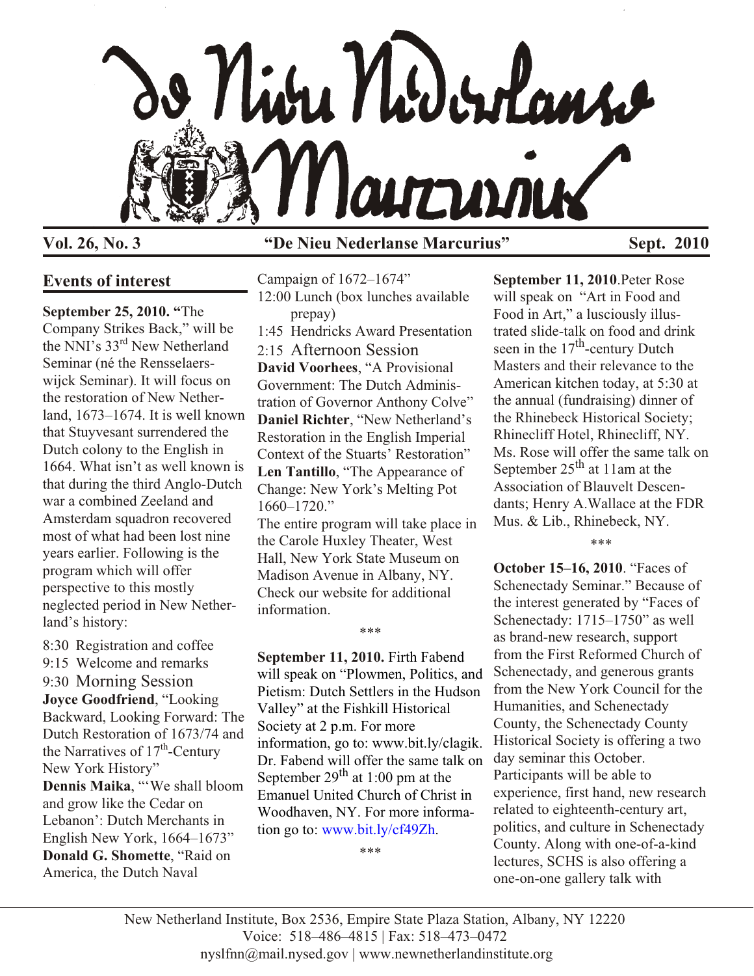

## **Vol. 26, No. 3 "De Nieu Nederlanse Marcurius" Sept. 2010**

# **Events of interest**

**September 25, 2010. "**The Company Strikes Back," will be the NNI's 33<sup>rd</sup> New Netherland Seminar (né the Rensselaerswijck Seminar). It will focus on the restoration of New Netherland, 1673–1674. It is well known that Stuyvesant surrendered the Dutch colony to the English in 1664. What isn't as well known is that during the third Anglo-Dutch war a combined Zeeland and Amsterdam squadron recovered most of what had been lost nine years earlier. Following is the program which will offer perspective to this mostly neglected period in New Netherland's history:

8:30 Registration and coffee 9:15 Welcome and remarks 9:30 Morning Session **Joyce Goodfriend**, "Looking Backward, Looking Forward: The Dutch Restoration of 1673/74 and the Narratives of  $17<sup>th</sup>$ -Century New York History" **Dennis Maika**, "'We shall bloom and grow like the Cedar on Lebanon': Dutch Merchants in English New York, 1664–1673" **Donald G. Shomette**, "Raid on America, the Dutch Naval

Campaign of 1672–1674" 12:00 Lunch (box lunches available prepay) 1:45 Hendricks Award Presentation 2:15 Afternoon Session **David Voorhees**, "A Provisional Government: The Dutch Administration of Governor Anthony Colve" **Daniel Richter**, "New Netherland's Restoration in the English Imperial Context of the Stuarts' Restoration" **Len Tantillo**, "The Appearance of Change: New York's Melting Pot 1660–1720." The entire program will take place in the Carole Huxley Theater, West

Hall, New York State Museum on Madison Avenue in Albany, NY. Check our website for additional information.

\*\*\*

**September 11, 2010.** Firth Fabend will speak on "Plowmen, Politics, and Pietism: Dutch Settlers in the Hudson Valley" at the Fishkill Historical Society at 2 p.m. For more information, go to: www.bit.ly/clagik. Dr. Fabend will offer the same talk on September  $29<sup>th</sup>$  at 1:00 pm at the Emanuel United Church of Christ in Woodhaven, NY. For more information go to: [www.bit.ly/cf49Zh.](http://www.bit.ly/cf49Zh)

\*\*\*

**September 11, 2010**.Peter Rose will speak on "Art in Food and Food in Art," a lusciously illustrated slide-talk on food and drink seen in the  $17<sup>th</sup>$ -century Dutch Masters and their relevance to the American kitchen today, at 5:30 at the annual (fundraising) dinner of the Rhinebeck Historical Society; Rhinecliff Hotel, Rhinecliff, NY. Ms. Rose will offer the same talk on September  $25<sup>th</sup>$  at 11am at the Association of Blauvelt Descendants; Henry A.Wallace at the FDR Mus. & Lib., Rhinebeck, NY.

\*\*\*

**October 15–16, 2010**. "Faces of Schenectady Seminar." Because of the interest generated by "Faces of Schenectady: 1715–1750" as well as brand-new research, support from the First Reformed Church of Schenectady, and generous grants from the New York Council for the Humanities, and Schenectady County, the Schenectady County Historical Society is offering a two day seminar this October. Participants will be able to experience, first hand, new research related to eighteenth-century art, politics, and culture in Schenectady County. Along with one-of-a-kind lectures, SCHS is also offering a one-on-one gallery talk with

New Netherland Institute, Box 2536, Empire State Plaza Station, Albany, NY 12220 Voice: 518–486–4815 | Fax: 518–473–0472 nyslfnn@mail.nysed.gov | www.newnetherlandinstitute.org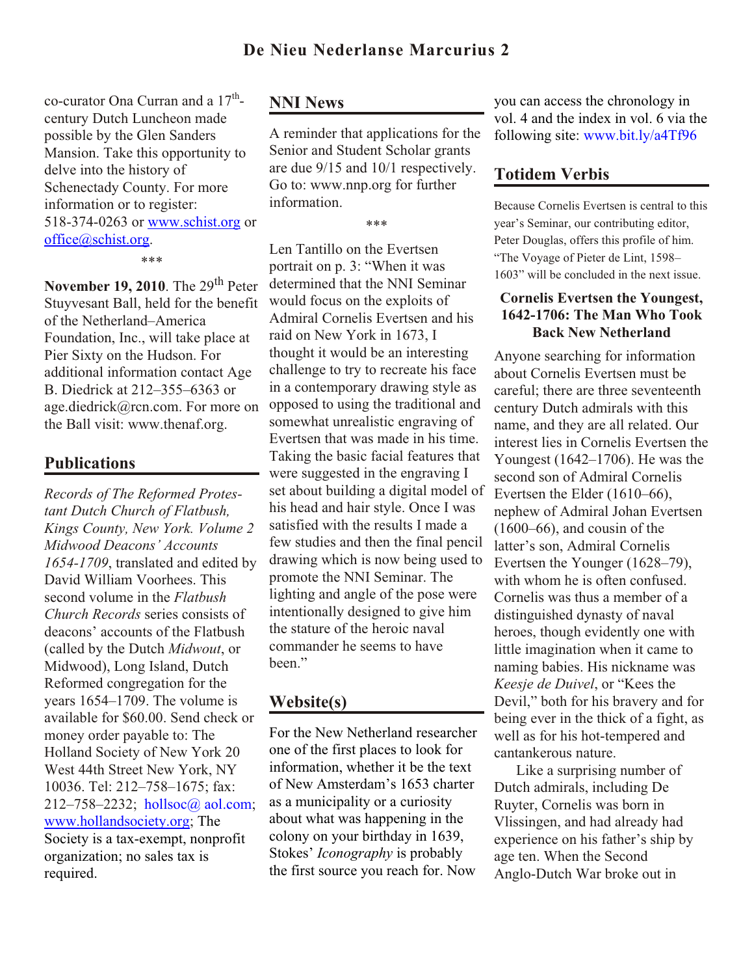co-curator Ona Curran and a  $17^{\text{th}}$ century Dutch Luncheon made possible by the Glen Sanders Mansion. Take this opportunity to delve into the history of Schenectady County. For more information or to register: 518-374-0263 or [www.schist.org](http://www.schist.org) or [office@schist.org](mailto:office@schist.org).

#### \*\*\*

**November 19, 2010**. The 29<sup>th</sup> Peter Stuyvesant Ball, held for the benefit of the Netherland–America Foundation, Inc., will take place at Pier Sixty on the Hudson. For additional information contact Age B. Diedrick at 212–355–6363 or age.diedrick@rcn.com. For more on the Ball visit: www.thenaf.org.

### **Publications**

*Records of The Reformed Protestant Dutch Church of Flatbush, Kings County, New York. Volume 2 Midwood Deacons' Accounts 1654-1709*, translated and edited by David William Voorhees. This second volume in the *Flatbush Church Records* series consists of deacons' accounts of the Flatbush (called by the Dutch *Midwout*, or Midwood), Long Island, Dutch Reformed congregation for the years 1654–1709. The volume is available for \$60.00. Send check or money order payable to: The Holland Society of New York 20 West 44th Street New York, NY 10036. Tel: 212–758–1675; fax: 212–758–2232; [hollsoc@ aol.com;](mailto:hollsoc@aol.com) [www.hollandsociety.org](http://www.hollandsociety.org); The Society is a tax-exempt, nonprofit organization; no sales tax is required.

### **NNI News**

A reminder that applications for the Senior and Student Scholar grants are due 9/15 and 10/1 respectively. Go to: www.nnp.org for further information.

\*\*\*

Len Tantillo on the Evertsen portrait on p. 3: "When it was determined that the NNI Seminar would focus on the exploits of Admiral Cornelis Evertsen and his raid on New York in 1673, I thought it would be an interesting challenge to try to recreate his face in a contemporary drawing style as opposed to using the traditional and somewhat unrealistic engraving of Evertsen that was made in his time. Taking the basic facial features that were suggested in the engraving I set about building a digital model of his head and hair style. Once I was satisfied with the results I made a few studies and then the final pencil drawing which is now being used to promote the NNI Seminar. The lighting and angle of the pose were intentionally designed to give him the stature of the heroic naval commander he seems to have been."

### **Website(s)**

For the New Netherland researcher one of the first places to look for information, whether it be the text of New Amsterdam's 1653 charter as a municipality or a curiosity about what was happening in the colony on your birthday in 1639, Stokes' *Iconography* is probably the first source you reach for. Now

you can access the chronology in vol. 4 and the index in vol. 6 via the following site: [www.bit.ly/a4Tf96](http://www.bit.ly/a4Tf96)

### **Totidem Verbis**

Because Cornelis Evertsen is central to this year's Seminar, our contributing editor, Peter Douglas, offers this profile of him. "The Voyage of Pieter de Lint, 1598– 1603" will be concluded in the next issue.

### **Cornelis Evertsen the Youngest, 1642-1706: The Man Who Took Back New Netherland**

Anyone searching for information about Cornelis Evertsen must be careful; there are three seventeenth century Dutch admirals with this name, and they are all related. Our interest lies in Cornelis Evertsen the Youngest (1642–1706). He was the second son of Admiral Cornelis Evertsen the Elder (1610–66), nephew of Admiral Johan Evertsen (1600–66), and cousin of the latter's son, Admiral Cornelis Evertsen the Younger (1628–79), with whom he is often confused. Cornelis was thus a member of a distinguished dynasty of naval heroes, though evidently one with little imagination when it came to naming babies. His nickname was *Keesje de Duivel*, or "Kees the Devil," both for his bravery and for being ever in the thick of a fight, as well as for his hot-tempered and cantankerous nature.

Like a surprising number of Dutch admirals, including De Ruyter, Cornelis was born in Vlissingen, and had already had experience on his father's ship by age ten. When the Second Anglo-Dutch War broke out in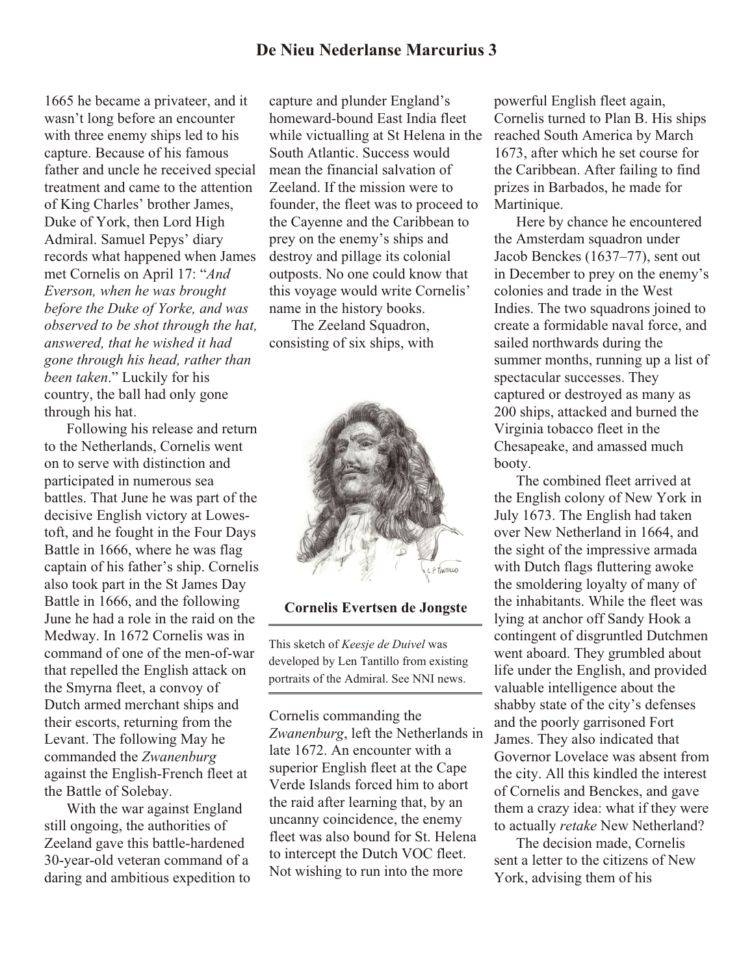## **De Nieu Nederlanse Marcurius 3**

1665 he became a privateer, and it wasn't long before an encounter with three enemy ships led to his capture. Because of his famous father and uncle he received special treatment and came to the attention of King Charles' brother James, Duke of York, then Lord High Admiral. Samuel Pepys' diary records what happened when James met Cornelis on April 17: "*And Everson, when he was brought before the Duke of Yorke, and was observed to be shot through the hat, answered, that he wished it had gone through his head, rather than been taken*." Luckily for his country, the ball had only gone through his hat.

Following his release and return to the Netherlands, Cornelis went on to serve with distinction and participated in numerous sea battles. That June he was part of the decisive English victory at Lowestoft, and he fought in the Four Days Battle in 1666, where he was flag captain of his father's ship. Cornelis also took part in the St James Day Battle in 1666, and the following June he had a role in the raid on the Medway. In 1672 Cornelis was in command of one of the men-of-war that repelled the English attack on the Smyrna fleet, a convoy of Dutch armed merchant ships and their escorts, returning from the Levant. The following May he commanded the *Zwanenburg* against the English-French fleet at the Battle of Solebay.

With the war against England still ongoing, the authorities of Zeeland gave this battle-hardened 30-year-old veteran command of a daring and ambitious expedition to capture and plunder England's homeward-bound East India fleet while victualling at St Helena in the South Atlantic. Success would mean the financial salvation of Zeeland. If the mission were to founder, the fleet was to proceed to the Cayenne and the Caribbean to prey on the enemy's ships and destroy and pillage its colonial outposts. No one could know that this voyage would write Cornelis' name in the history books.

The Zeeland Squadron, consisting of six ships, with



#### **Cornelis Evertsen de Jongste**

This sketch of *Keesje de Duivel* was developed by Len Tantillo from existing portraits of the Admiral. See NNI news.

Cornelis commanding the *Zwanenburg*, left the Netherlands in late 1672. An encounter with a superior English fleet at the Cape Verde Islands forced him to abort the raid after learning that, by an uncanny coincidence, the enemy fleet was also bound for St. Helena to intercept the Dutch VOC fleet. Not wishing to run into the more

powerful English fleet again, Cornelis turned to Plan B. His ships reached South America by March 1673, after which he set course for the Caribbean. After failing to find prizes in Barbados, he made for Martinique.

Here by chance he encountered the Amsterdam squadron under Jacob Benckes (1637–77), sent out in December to prey on the enemy's colonies and trade in the West Indies. The two squadrons joined to create a formidable naval force, and sailed northwards during the summer months, running up a list of spectacular successes. They captured or destroyed as many as 200 ships, attacked and burned the Virginia tobacco fleet in the Chesapeake, and amassed much booty.

The combined fleet arrived at the English colony of New York in July 1673. The English had taken over New Netherland in 1664, and the sight of the impressive armada with Dutch flags fluttering awoke the smoldering loyalty of many of the inhabitants. While the fleet was lying at anchor off Sandy Hook a contingent of disgruntled Dutchmen went aboard. They grumbled about life under the English, and provided valuable intelligence about the shabby state of the city's defenses and the poorly garrisoned Fort James. They also indicated that Governor Lovelace was absent from the city. All this kindled the interest of Cornelis and Benckes, and gave them a crazy idea: what if they were to actually *retake* New Netherland?

The decision made, Cornelis sent a letter to the citizens of New York, advising them of his